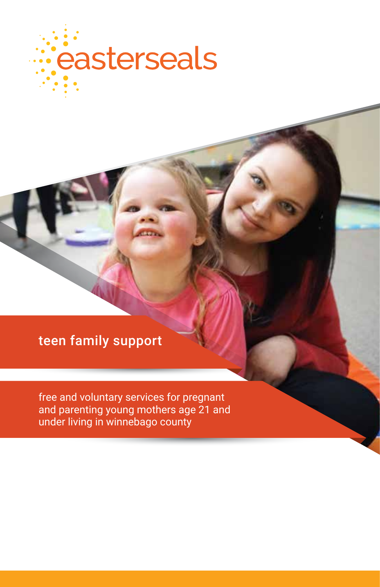

## teen family support

free and voluntary services for pregnant and parenting young mothers age 21 and under living in winnebago county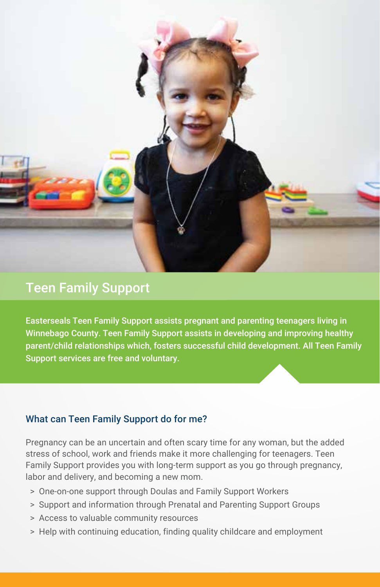

### Teen Family Support

Easterseals Teen Family Support assists pregnant and parenting teenagers living in Winnebago County. Teen Family Support assists in developing and improving healthy parent/child relationships which, fosters successful child development. All Teen Family Support services are free and voluntary.

#### What can Teen Family Support do for me?

Pregnancy can be an uncertain and often scary time for any woman, but the added stress of school, work and friends make it more challenging for teenagers. Teen Family Support provides you with long-term support as you go through pregnancy, labor and delivery, and becoming a new mom.

- > One-on-one support through Doulas and Family Support Workers
- > Support and information through Prenatal and Parenting Support Groups
- > Access to valuable community resources
- > Help with continuing education, finding quality childcare and employment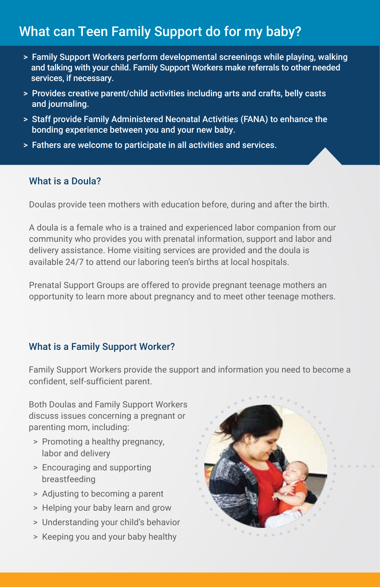### What can Teen Family Support do for my baby?

- > Family Support Workers perform developmental screenings while playing, walking and talking with your child. Family Support Workers make referrals to other needed services, if necessary.
- > Provides creative parent/child activities including arts and crafts, belly casts and journaling.
- > Staff provide Family Administered Neonatal Activities (FANA) to enhance the bonding experience between you and your new baby.
- > Fathers are welcome to participate in all activities and services.

#### What is a Doula?

Doulas provide teen mothers with education before, during and after the birth.

A doula is a female who is a trained and experienced labor companion from our community who provides you with prenatal information, support and labor and delivery assistance. Home visiting services are provided and the doula is available 24/7 to attend our laboring teen's births at local hospitals.

Prenatal Support Groups are offered to provide pregnant teenage mothers an opportunity to learn more about pregnancy and to meet other teenage mothers.

#### What is a Family Support Worker?

Family Support Workers provide the support and information you need to become a confident, self-sufficient parent.

Both Doulas and Family Support Workers discuss issues concerning a pregnant or parenting mom, including:

- > Promoting a healthy pregnancy, labor and delivery
- > Encouraging and supporting breastfeeding
- > Adjusting to becoming a parent
- > Helping your baby learn and grow
- > Understanding your child's behavior
- > Keeping you and your baby healthy